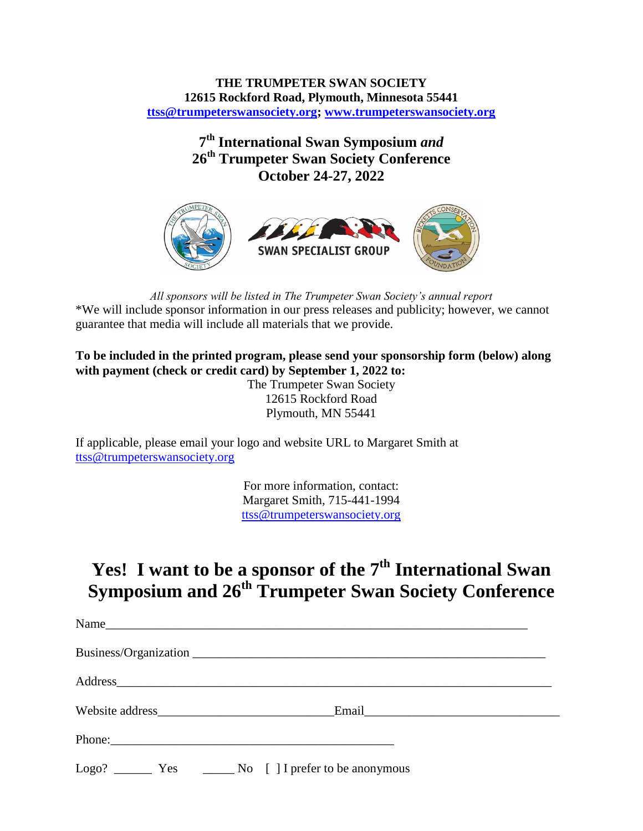## **THE TRUMPETER SWAN SOCIETY 12615 Rockford Road, Plymouth, Minnesota 55441 [ttss@trumpeterswansociety.org;](mailto:ttss@trumpeterswansociety.org) [www.trumpeterswansociety.org](http://www.trumpeterswansociety.org/)**

**7 th International Swan Symposium** *and* **26 th Trumpeter Swan Society Conference October 24-27, 2022**



*All sponsors will be listed in The Trumpeter Swan Society's annual report* \*We will include sponsor information in our press releases and publicity; however, we cannot guarantee that media will include all materials that we provide.

**To be included in the printed program, please send your sponsorship form (below) along with payment (check or credit card) by September 1, 2022 to:**

The Trumpeter Swan Society 12615 Rockford Road Plymouth, MN 55441

If applicable, please email your logo and website URL to Margaret Smith at [ttss@trumpeterswansociety.org](mailto:ttss@trumpeterswansociety.org)

> For more information, contact: Margaret Smith, 715-441-1994 [ttss@trumpeterswansociety.org](mailto:ttss@trumpeterswansociety.org)

## **Yes! I want to be a sponsor of the 7 th International Swan Symposium and 26th Trumpeter Swan Society Conference**

| Phone: |  |
|--------|--|
|        |  |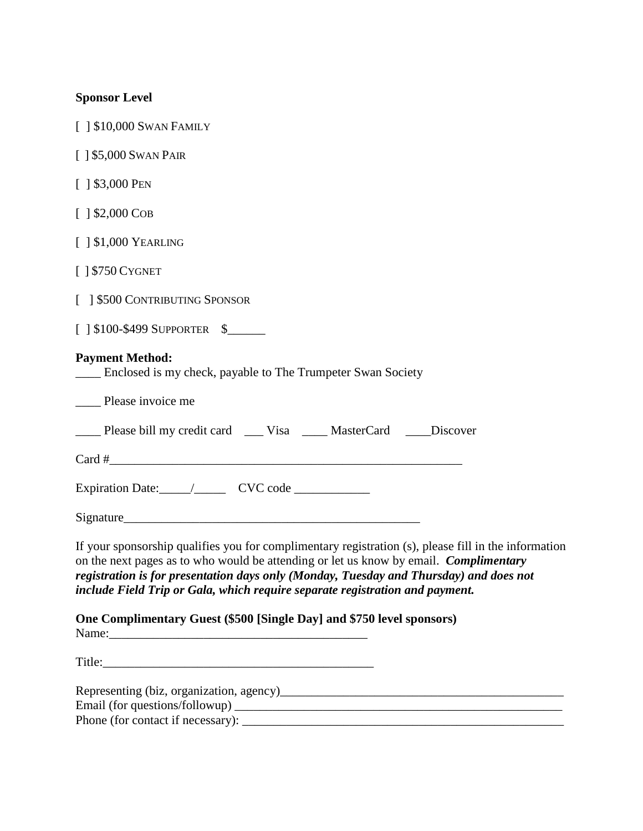| <b>Sponsor Level</b>                                                                                                                                                                                                                                                                                                                                                    |
|-------------------------------------------------------------------------------------------------------------------------------------------------------------------------------------------------------------------------------------------------------------------------------------------------------------------------------------------------------------------------|
| [ ] \$10,000 SWAN FAMILY                                                                                                                                                                                                                                                                                                                                                |
| $[$ 1 \$5,000 SWAN PAIR                                                                                                                                                                                                                                                                                                                                                 |
| $[$ 1 \$3,000 PEN                                                                                                                                                                                                                                                                                                                                                       |
| $[1 $2,000$ Cob                                                                                                                                                                                                                                                                                                                                                         |
| $[$ $]$ \$1,000 YEARLING                                                                                                                                                                                                                                                                                                                                                |
| $[$   \$750 CYGNET                                                                                                                                                                                                                                                                                                                                                      |
| [ ] \$500 CONTRIBUTING SPONSOR                                                                                                                                                                                                                                                                                                                                          |
| $[$   \$100-\$499 SUPPORTER \$                                                                                                                                                                                                                                                                                                                                          |
| <b>Payment Method:</b><br><u>Let</u> Enclosed is my check, payable to The Trumpeter Swan Society                                                                                                                                                                                                                                                                        |
| _____ Please invoice me                                                                                                                                                                                                                                                                                                                                                 |
| ____ Please bill my credit card ____ Visa _____ MasterCard ____ Discover                                                                                                                                                                                                                                                                                                |
| $Card \#$                                                                                                                                                                                                                                                                                                                                                               |
|                                                                                                                                                                                                                                                                                                                                                                         |
|                                                                                                                                                                                                                                                                                                                                                                         |
| If your sponsorship qualifies you for complimentary registration (s), please fill in the information<br>on the next pages as to who would be attending or let us know by email. Complimentary<br>registration is for presentation days only (Monday, Tuesday and Thursday) and does not<br>include Field Trip or Gala, which require separate registration and payment. |
| One Complimentary Guest (\$500 [Single Day] and \$750 level sponsors)                                                                                                                                                                                                                                                                                                   |
|                                                                                                                                                                                                                                                                                                                                                                         |
|                                                                                                                                                                                                                                                                                                                                                                         |